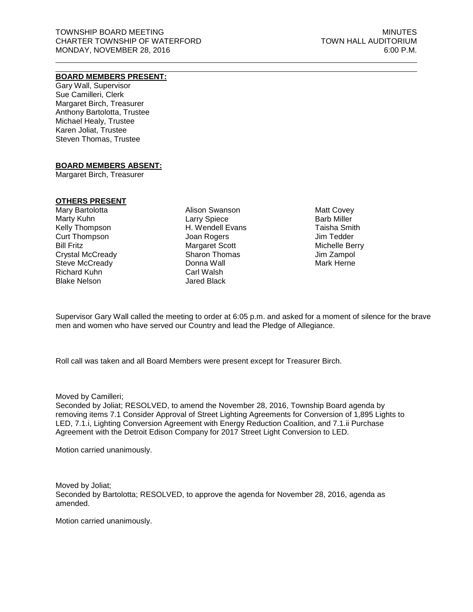# **BOARD MEMBERS PRESENT:**

Gary Wall, Supervisor Sue Camilleri, Clerk Margaret Birch, Treasurer Anthony Bartolotta, Trustee Michael Healy, Trustee Karen Joliat, Trustee Steven Thomas, Trustee

## **BOARD MEMBERS ABSENT:**

Margaret Birch, Treasurer

## **OTHERS PRESENT**

Mary Bartolotta Marty Kuhn Kelly Thompson Curt Thompson Bill Fritz Crystal McCready Steve McCready Richard Kuhn Blake Nelson

Alison Swanson Larry Spiece H. Wendell Evans Joan Rogers Margaret Scott Sharon Thomas Donna Wall Carl Walsh Jared Black

Matt Covey Barb Miller Taisha Smith Jim Tedder Michelle Berry Jim Zampol Mark Herne

Supervisor Gary Wall called the meeting to order at 6:05 p.m. and asked for a moment of silence for the brave men and women who have served our Country and lead the Pledge of Allegiance.

Roll call was taken and all Board Members were present except for Treasurer Birch.

Moved by Camilleri;

Seconded by Joliat; RESOLVED, to amend the November 28, 2016, Township Board agenda by removing items 7.1 Consider Approval of Street Lighting Agreements for Conversion of 1,895 Lights to LED, 7.1.i, Lighting Conversion Agreement with Energy Reduction Coalition, and 7.1.ii Purchase Agreement with the Detroit Edison Company for 2017 Street Light Conversion to LED.

Motion carried unanimously.

Moved by Joliat; Seconded by Bartolotta; RESOLVED, to approve the agenda for November 28, 2016, agenda as amended.

Motion carried unanimously.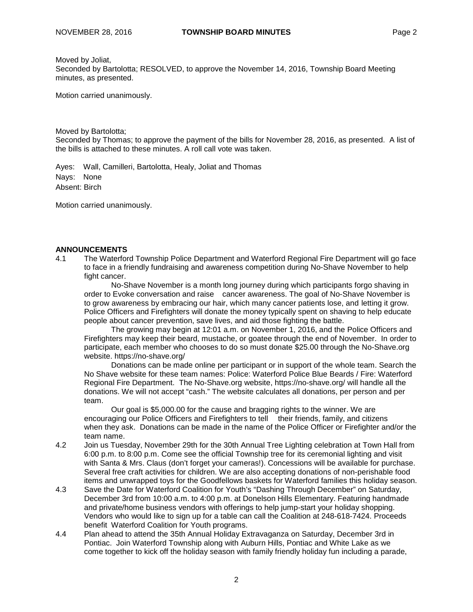Moved by Joliat,

Seconded by Bartolotta; RESOLVED, to approve the November 14, 2016, Township Board Meeting minutes, as presented.

Motion carried unanimously.

Moved by Bartolotta;

Seconded by Thomas; to approve the payment of the bills for November 28, 2016, as presented. A list of the bills is attached to these minutes. A roll call vote was taken.

Ayes: Wall, Camilleri, Bartolotta, Healy, Joliat and Thomas Nays: None Absent: Birch

Motion carried unanimously.

## **ANNOUNCEMENTS**

4.1 The Waterford Township Police Department and Waterford Regional Fire Department will go face to face in a friendly fundraising and awareness competition during No-Shave November to help fight cancer.

No-Shave November is a month long journey during which participants forgo shaving in order to Evoke conversation and raise cancer awareness. The goal of No-Shave November is to grow awareness by embracing our hair, which many cancer patients lose, and letting it grow. Police Officers and Firefighters will donate the money typically spent on shaving to help educate people about cancer prevention, save lives, and aid those fighting the battle.

The growing may begin at 12:01 a.m. on November 1, 2016, and the Police Officers and Firefighters may keep their beard, mustache, or goatee through the end of November. In order to participate, each member who chooses to do so must donate \$25.00 through the No-Shave.org website. <https://no-shave.org/>

Donations can be made online per participant or in support of the whole team. Search the No Shave website for these team names: Police: Waterford Police Blue Beards / Fire: Waterford Regional Fire Department. The No-Shave.org website, <https://no-shave.org/> will handle all the donations. We will not accept "cash." The website calculates all donations, per person and per team.

Our goal is \$5,000.00 for the cause and bragging rights to the winner. We are encouraging our Police Officers and Firefighters to tell their friends, family, and citizens when they ask. Donations can be made in the name of the Police Officer or Firefighter and/or the team name.

- 4.2 Join us Tuesday, November 29th for the 30th Annual Tree Lighting celebration at Town Hall from 6:00 p.m. to 8:00 p.m. Come see the official Township tree for its ceremonial lighting and visit with Santa & Mrs. Claus (don't forget your cameras!). Concessions will be available for purchase. Several free craft activities for children. We are also accepting donations of non-perishable food items and unwrapped toys for the Goodfellows baskets for Waterford families this holiday season.
- 4.3 Save the Date for Waterford Coalition for Youth's "Dashing Through December" on Saturday, December 3rd from 10:00 a.m. to 4:00 p.m. at Donelson Hills Elementary. Featuring handmade and private/home business vendors with offerings to help jump-start your holiday shopping. Vendors who would like to sign up for a table can call the Coalition at 248-618-7424. Proceeds benefit Waterford Coalition for Youth programs.
- 4.4 Plan ahead to attend the 35th Annual Holiday Extravaganza on Saturday, December 3rd in Pontiac. Join Waterford Township along with Auburn Hills, Pontiac and White Lake as we come together to kick off the holiday season with family friendly holiday fun including a parade,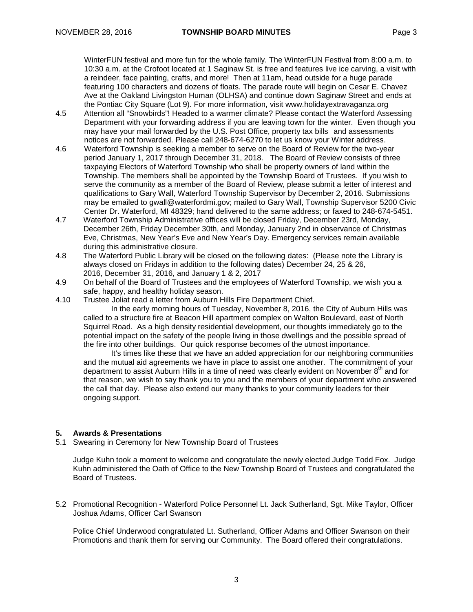WinterFUN festival and more fun for the whole family. The WinterFUN Festival from 8:00 a.m. to 10:30 a.m. at the Crofoot located at 1 Saginaw St. is free and features live ice carving, a visit with a reindeer, face painting, crafts, and more! Then at 11am, head outside for a huge parade featuring 100 characters and dozens of floats. The parade route will begin on Cesar E. Chavez Ave at the Oakland Livingston Human (OLHSA) and continue down Saginaw Street and ends at the Pontiac City Square (Lot 9). For more information, visit [www.holidayextravaganza.org](http://www.holidayextravaganza.org/)

- 4.5 Attention all "Snowbirds"! Headed to a warmer climate? Please contact the Waterford Assessing Department with your forwarding address if you are leaving town for the winter. Even though you may have your mail forwarded by the U.S. Post Office, property tax bills and assessments notices are not forwarded. Please call 248-674-6270 to let us know your Winter address.
- 4.6 Waterford Township is seeking a member to serve on the Board of Review for the two-year period January 1, 2017 through December 31, 2018. The Board of Review consists of three taxpaying Electors of Waterford Township who shall be property owners of land within the Township. The members shall be appointed by the Township Board of Trustees. If you wish to serve the community as a member of the Board of Review, please submit a letter of interest and qualifications to Gary Wall, Waterford Township Supervisor by December 2, 2016. Submissions may be emailed to [gwall@waterfordmi.gov;](mailto:gwall@waterfordmi.gov) mailed to Gary Wall, Township Supervisor 5200 Civic Center Dr. Waterford, MI 48329; hand delivered to the same address; or faxed to 248-674-5451.
- 4.7 Waterford Township Administrative offices will be closed Friday, December 23rd, Monday, December 26th, Friday December 30th, and Monday, January 2nd in observance of Christmas Eve, Christmas, New Year's Eve and New Year's Day. Emergency services remain available during this administrative closure.
- 4.8 The Waterford Public Library will be closed on the following dates: (Please note the Library is always closed on Fridays in addition to the following dates) December 24, 25 & 26, 2016, December 31, 2016, and January 1 & 2, 2017
- 4.9 On behalf of the Board of Trustees and the employees of Waterford Township, we wish you a safe, happy, and healthy holiday season.
- 4.10 Trustee Joliat read a letter from Auburn Hills Fire Department Chief.

In the early morning hours of Tuesday, November 8, 2016, the City of Auburn Hills was called to a structure fire at Beacon Hill apartment complex on Walton Boulevard, east of North Squirrel Road. As a high density residential development, our thoughts immediately go to the potential impact on the safety of the people living in those dwellings and the possible spread of the fire into other buildings. Our quick response becomes of the utmost importance.

It's times like these that we have an added appreciation for our neighboring communities and the mutual aid agreements we have in place to assist one another. The commitment of your department to assist Auburn Hills in a time of need was clearly evident on November 8<sup>th</sup> and for that reason, we wish to say thank you to you and the members of your department who answered the call that day. Please also extend our many thanks to your community leaders for their ongoing support.

# **5. Awards & Presentations**

5.1 Swearing in Ceremony for New Township Board of Trustees

Judge Kuhn took a moment to welcome and congratulate the newly elected Judge Todd Fox. Judge Kuhn administered the Oath of Office to the New Township Board of Trustees and congratulated the Board of Trustees.

5.2 Promotional Recognition - Waterford Police Personnel Lt. Jack Sutherland, Sgt. Mike Taylor, Officer Joshua Adams, Officer Carl Swanson

Police Chief Underwood congratulated Lt. Sutherland, Officer Adams and Officer Swanson on their Promotions and thank them for serving our Community. The Board offered their congratulations.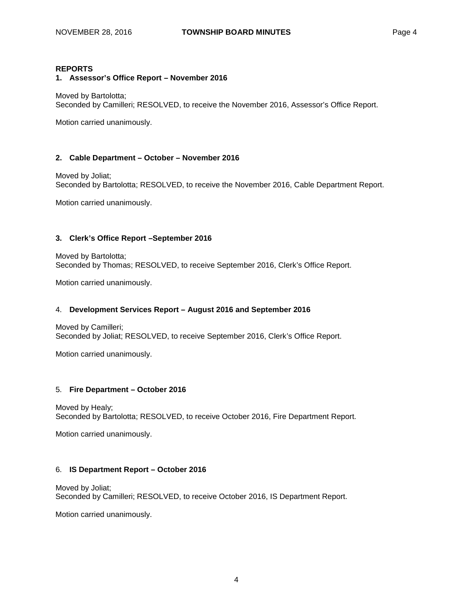# **REPORTS**

**1. Assessor's Office Report – November 2016**

Moved by Bartolotta; Seconded by Camilleri; RESOLVED, to receive the November 2016, Assessor's Office Report.

Motion carried unanimously.

## **2. Cable Department – October – November 2016**

Moved by Joliat; Seconded by Bartolotta; RESOLVED, to receive the November 2016, Cable Department Report.

Motion carried unanimously.

## **3. Clerk's Office Report –September 2016**

Moved by Bartolotta; Seconded by Thomas; RESOLVED, to receive September 2016, Clerk's Office Report.

Motion carried unanimously.

#### 4. **Development Services Report – August 2016 and September 2016**

Moved by Camilleri; Seconded by Joliat; RESOLVED, to receive September 2016, Clerk's Office Report.

Motion carried unanimously.

#### 5. **Fire Department – October 2016**

Moved by Healy; Seconded by Bartolotta; RESOLVED, to receive October 2016, Fire Department Report.

Motion carried unanimously.

#### 6. **IS Department Report – October 2016**

Moved by Joliat; Seconded by Camilleri; RESOLVED, to receive October 2016, IS Department Report.

Motion carried unanimously.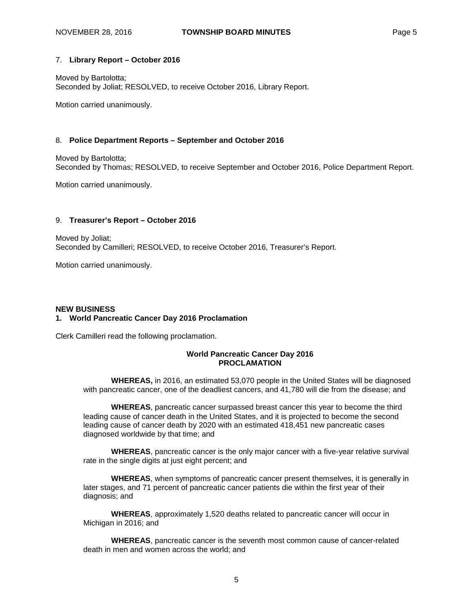## 7. **Library Report – October 2016**

Moved by Bartolotta; Seconded by Joliat; RESOLVED, to receive October 2016, Library Report.

Motion carried unanimously.

## 8. **Police Department Reports – September and October 2016**

Moved by Bartolotta; Seconded by Thomas; RESOLVED, to receive September and October 2016, Police Department Report.

Motion carried unanimously.

## 9. **Treasurer's Report – October 2016**

Moved by Joliat; Seconded by Camilleri; RESOLVED, to receive October 2016, Treasurer's Report.

Motion carried unanimously.

#### **NEW BUSINESS 1. World Pancreatic Cancer Day 2016 Proclamation**

Clerk Camilleri read the following proclamation.

## **World Pancreatic Cancer Day 2016 PROCLAMATION**

**WHEREAS,** in 2016, an estimated 53,070 people in the United States will be diagnosed with pancreatic cancer, one of the deadliest cancers, and 41,780 will die from the disease; and

**WHEREAS**, pancreatic cancer surpassed breast cancer this year to become the third leading cause of cancer death in the United States, and it is projected to become the second leading cause of cancer death by 2020 with an estimated 418,451 new pancreatic cases diagnosed worldwide by that time; and

**WHEREAS**, pancreatic cancer is the only major cancer with a five-year relative survival rate in the single digits at just eight percent; and

**WHEREAS**, when symptoms of pancreatic cancer present themselves, it is generally in later stages, and 71 percent of pancreatic cancer patients die within the first year of their diagnosis; and

**WHEREAS**, approximately 1,520 deaths related to pancreatic cancer will occur in Michigan in 2016; and

**WHEREAS**, pancreatic cancer is the seventh most common cause of cancer-related death in men and women across the world; and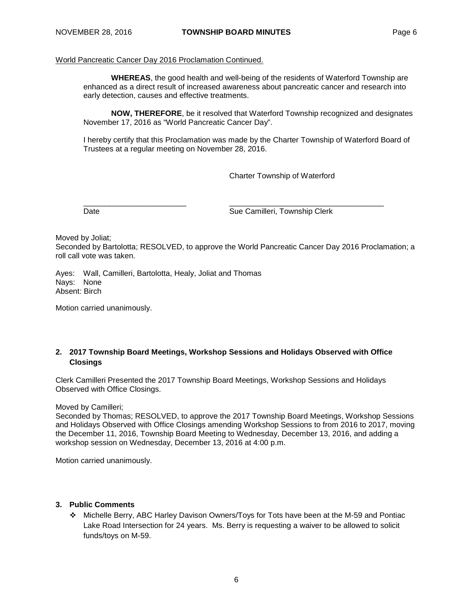## World Pancreatic Cancer Day 2016 Proclamation Continued.

**WHEREAS**, the good health and well-being of the residents of Waterford Township are enhanced as a direct result of increased awareness about pancreatic cancer and research into early detection, causes and effective treatments.

**NOW, THEREFORE**, be it resolved that Waterford Township recognized and designates November 17, 2016 as "World Pancreatic Cancer Day".

I hereby certify that this Proclamation was made by the Charter Township of Waterford Board of Trustees at a regular meeting on November 28, 2016.

Charter Township of Waterford

\_\_\_\_\_\_\_\_\_\_\_\_\_\_\_\_\_\_\_\_\_\_\_\_ \_\_\_\_\_\_\_\_\_\_\_\_\_\_\_\_\_\_\_\_\_\_\_\_\_\_\_\_\_\_\_\_\_\_\_\_ Date **Sue Camilleri, Township Clerk** 

Moved by Joliat;

Seconded by Bartolotta; RESOLVED, to approve the World Pancreatic Cancer Day 2016 Proclamation; a roll call vote was taken.

Ayes: Wall, Camilleri, Bartolotta, Healy, Joliat and Thomas Nays: None Absent: Birch

Motion carried unanimously.

# **2. 2017 Township Board Meetings, Workshop Sessions and Holidays Observed with Office Closings**

Clerk Camilleri Presented the 2017 Township Board Meetings, Workshop Sessions and Holidays Observed with Office Closings.

Moved by Camilleri;

Seconded by Thomas; RESOLVED, to approve the 2017 Township Board Meetings, Workshop Sessions and Holidays Observed with Office Closings amending Workshop Sessions to from 2016 to 2017, moving the December 11, 2016, Township Board Meeting to Wednesday, December 13, 2016, and adding a workshop session on Wednesday, December 13, 2016 at 4:00 p.m.

Motion carried unanimously.

#### **3. Public Comments**

 Michelle Berry, ABC Harley Davison Owners/Toys for Tots have been at the M-59 and Pontiac Lake Road Intersection for 24 years. Ms. Berry is requesting a waiver to be allowed to solicit funds/toys on M-59.